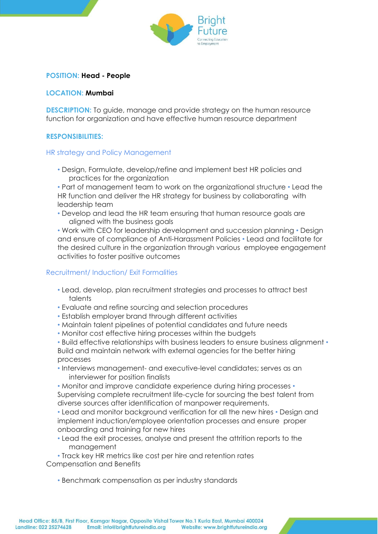

# **POSITION: Head - People**

## **LOCATION: Mumbai**

**DESCRIPTION:** To guide, manage and provide strategy on the human resource function for organization and have effective human resource department

# **RESPONSIBILITIES:**

#### HR strategy and Policy Management

• Design, Formulate, develop/refine and implement best HR policies and practices for the organization

• Part of management team to work on the organizational structure • Lead the HR function and deliver the HR strategy for business by collaborating with leadership team

• Develop and lead the HR team ensuring that human resource goals are aligned with the business goals

• Work with CEO for leadership development and succession planning • Design and ensure of compliance of Anti-Harassment Policies • Lead and facilitate for the desired culture in the organization through various employee engagement activities to foster positive outcomes

#### Recruitment/ Induction/ Exit Formalities

- Lead, develop, plan recruitment strategies and processes to attract best talents
- Evaluate and refine sourcing and selection procedures
- Establish employer brand through different activities
- Maintain talent pipelines of potential candidates and future needs
- Monitor cost effective hiring processes within the budgets
- Build effective relationships with business leaders to ensure business alignment Build and maintain network with external agencies for the better hiring processes
- Interviews management- and executive-level candidates; serves as an interviewer for position finalists

• Monitor and improve candidate experience during hiring processes • Supervising complete recruitment life-cycle for sourcing the best talent from diverse sources after identification of manpower requirements.

• Lead and monitor background verification for all the new hires • Design and implement induction/employee orientation processes and ensure proper onboarding and training for new hires

• Lead the exit processes, analyse and present the attrition reports to the management

• Track key HR metrics like cost per hire and retention rates Compensation and Benefits

• Benchmark compensation as per industry standards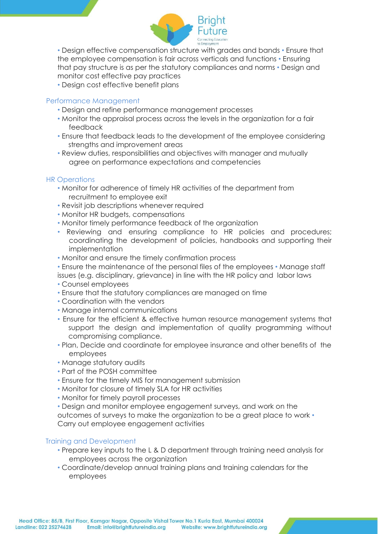

• Design effective compensation structure with grades and bands • Ensure that the employee compensation is fair across verticals and functions • Ensuring that pay structure is as per the statutory compliances and norms • Design and monitor cost effective pay practices

• Design cost effective benefit plans

## Performance Management

- Design and refine performance management processes
- Monitor the appraisal process across the levels in the organization for a fair feedback
- Ensure that feedback leads to the development of the employee considering strengths and improvement areas
- Review duties, responsibilities and objectives with manager and mutually agree on performance expectations and competencies

# HR Operations

- Monitor for adherence of timely HR activities of the department from recruitment to employee exit
- Revisit job descriptions whenever required
- Monitor HR budgets, compensations
- Monitor timely performance feedback of the organization
- Reviewing and ensuring compliance to HR policies and procedures; coordinating the development of policies, handbooks and supporting their implementation
- Monitor and ensure the timely confirmation process
- Ensure the maintenance of the personal files of the employees Manage staff issues (e.g. disciplinary, grievance) in line with the HR policy and labor laws
- Counsel employees
- Ensure that the statutory compliances are managed on time
- Coordination with the vendors
- Manage internal communications
- Ensure for the efficient & effective human resource management systems that support the design and implementation of quality programming without compromising compliance.
- Plan, Decide and coordinate for employee insurance and other benefits of the employees
- Manage statutory audits
- Part of the POSH committee
- Ensure for the timely MIS for management submission
- Monitor for closure of timely SLA for HR activities
- Monitor for timely payroll processes

• Design and monitor employee engagement surveys, and work on the outcomes of surveys to make the organization to be a great place to work • Carry out employee engagement activities

# Training and Development

- Prepare key inputs to the L & D department through training need analysis for employees across the organization
- Coordinate/develop annual training plans and training calendars for the employees